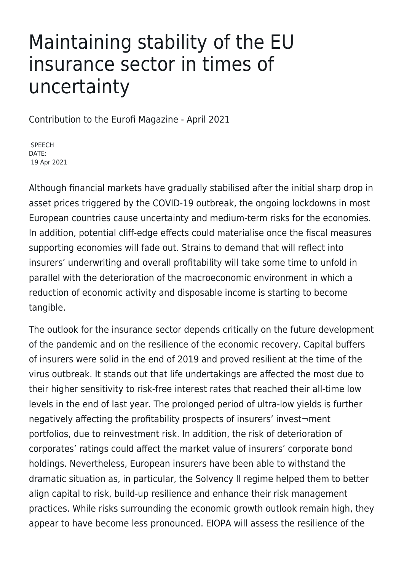## Maintaining stability of the EU insurance sector in times of uncertainty

Contribution to the Eurofi Magazine - April 2021

SPEECH DATE: 19 Apr 2021

Although financial markets have gradually stabilised after the initial sharp drop in asset prices triggered by the COVID-19 outbreak, the ongoing lockdowns in most European countries cause uncertainty and medium-term risks for the economies. In addition, potential cliff-edge effects could materialise once the fiscal measures supporting economies will fade out. Strains to demand that will reflect into insurers' underwriting and overall profitability will take some time to unfold in parallel with the deterioration of the macroeconomic environment in which a reduction of economic activity and disposable income is starting to become tangible.

The outlook for the insurance sector depends critically on the future development of the pandemic and on the resilience of the economic recovery. Capital buffers of insurers were solid in the end of 2019 and proved resilient at the time of the virus outbreak. It stands out that life undertakings are affected the most due to their higher sensitivity to risk-free interest rates that reached their all-time low levels in the end of last year. The prolonged period of ultra-low yields is further negatively affecting the profitability prospects of insurers' invest¬ment portfolios, due to reinvestment risk. In addition, the risk of deterioration of corporates' ratings could affect the market value of insurers' corporate bond holdings. Nevertheless, European insurers have been able to withstand the dramatic situation as, in particular, the Solvency II regime helped them to better align capital to risk, build-up resilience and enhance their risk management practices. While risks surrounding the economic growth outlook remain high, they appear to have become less pronounced. EIOPA will assess the resilience of the